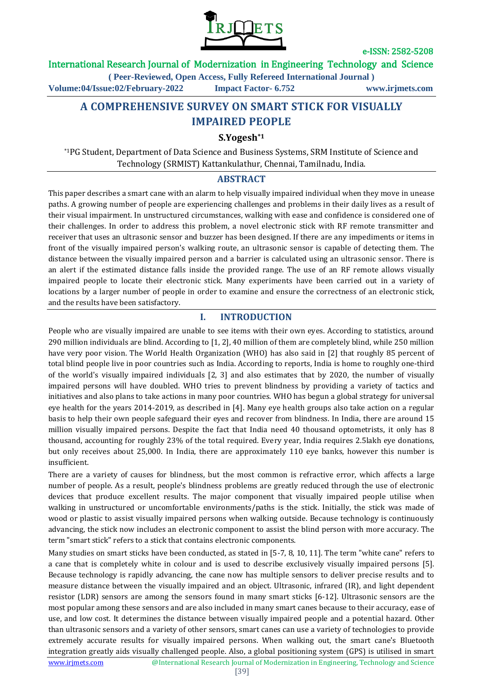

International Research Journal of Modernization in Engineering Technology and Science

**( Peer-Reviewed, Open Access, Fully Refereed International Journal )**

**Volume:04/Issue:02/February-2022 Impact Factor- 6.752 www.irjmets.com**

# **A COMPREHENSIVE SURVEY ON SMART STICK FOR VISUALLY IMPAIRED PEOPLE**

### **S.Yogesh\*1**

\*1PG Student, Department of Data Science and Business Systems, SRM Institute of Science and Technology (SRMIST) Kattankulathur, Chennai, Tamilnadu, India.

#### **ABSTRACT**

This paper describes a smart cane with an alarm to help visually impaired individual when they move in unease paths. A growing number of people are experiencing challenges and problems in their daily lives as a result of their visual impairment. In unstructured circumstances, walking with ease and confidence is considered one of their challenges. In order to address this problem, a novel electronic stick with RF remote transmitter and receiver that uses an ultrasonic sensor and buzzer has been designed. If there are any impediments or items in front of the visually impaired person's walking route, an ultrasonic sensor is capable of detecting them. The distance between the visually impaired person and a barrier is calculated using an ultrasonic sensor. There is an alert if the estimated distance falls inside the provided range. The use of an RF remote allows visually impaired people to locate their electronic stick. Many experiments have been carried out in a variety of locations by a larger number of people in order to examine and ensure the correctness of an electronic stick, and the results have been satisfactory.

## **I. INTRODUCTION**

People who are visually impaired are unable to see items with their own eyes. According to statistics, around 290 million individuals are blind. According to [1, 2], 40 million of them are completely blind, while 250 million have very poor vision. The World Health Organization (WHO) has also said in [2] that roughly 85 percent of total blind people live in poor countries such as India. According to reports, India is home to roughly one-third of the world's visually impaired individuals [2, 3] and also estimates that by 2020, the number of visually impaired persons will have doubled. WHO tries to prevent blindness by providing a variety of tactics and initiatives and also plans to take actions in many poor countries. WHO has begun a global strategy for universal eye health for the years 2014-2019, as described in [4]. Many eye health groups also take action on a regular basis to help their own people safeguard their eyes and recover from blindness. In India, there are around 15 million visually impaired persons. Despite the fact that India need 40 thousand optometrists, it only has 8 thousand, accounting for roughly 23% of the total required. Every year, India requires 2.5lakh eye donations, but only receives about 25,000. In India, there are approximately 110 eye banks, however this number is insufficient.

There are a variety of causes for blindness, but the most common is refractive error, which affects a large number of people. As a result, people's blindness problems are greatly reduced through the use of electronic devices that produce excellent results. The major component that visually impaired people utilise when walking in unstructured or uncomfortable environments/paths is the stick. Initially, the stick was made of wood or plastic to assist visually impaired persons when walking outside. Because technology is continuously advancing, the stick now includes an electronic component to assist the blind person with more accuracy. The term "smart stick" refers to a stick that contains electronic components.

Many studies on smart sticks have been conducted, as stated in [5-7, 8, 10, 11]. The term "white cane" refers to a cane that is completely white in colour and is used to describe exclusively visually impaired persons [5]. Because technology is rapidly advancing, the cane now has multiple sensors to deliver precise results and to measure distance between the visually impaired and an object. Ultrasonic, infrared (IR), and light dependent resistor (LDR) sensors are among the sensors found in many smart sticks [6-12]. Ultrasonic sensors are the most popular among these sensors and are also included in many smart canes because to their accuracy, ease of use, and low cost. It determines the distance between visually impaired people and a potential hazard. Other than ultrasonic sensors and a variety of other sensors, smart canes can use a variety of technologies to provide extremely accurate results for visually impaired persons. When walking out, the smart cane's Bluetooth integration greatly aids visually challenged people. Also, a global positioning system (GPS) is utilised in smart

www.irjmets.com <sup>@International Research</sup> Journal of Modernization in Engineering, Technology and Science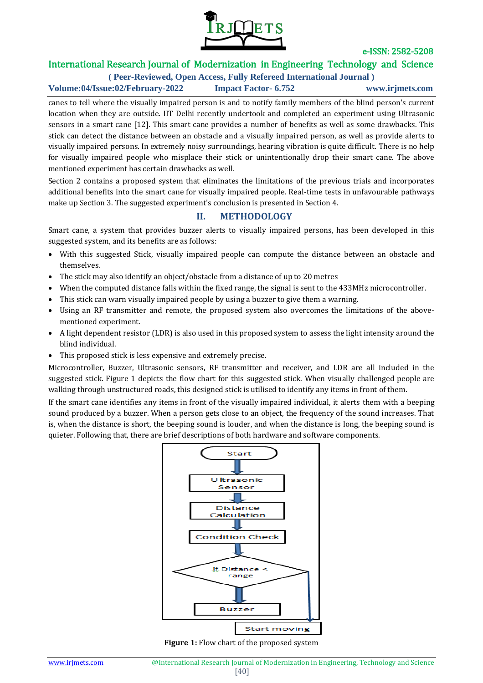

## International Research Journal of Modernization in Engineering Technology and Science

**( Peer-Reviewed, Open Access, Fully Refereed International Journal ) Volume:04/Issue:02/February-2022 Impact Factor- 6.752 www.irjmets.com**

canes to tell where the visually impaired person is and to notify family members of the blind person's current location when they are outside. IIT Delhi recently undertook and completed an experiment using Ultrasonic sensors in a smart cane [12]. This smart cane provides a number of benefits as well as some drawbacks. This stick can detect the distance between an obstacle and a visually impaired person, as well as provide alerts to visually impaired persons. In extremely noisy surroundings, hearing vibration is quite difficult. There is no help for visually impaired people who misplace their stick or unintentionally drop their smart cane. The above mentioned experiment has certain drawbacks as well.

Section 2 contains a proposed system that eliminates the limitations of the previous trials and incorporates additional benefits into the smart cane for visually impaired people. Real-time tests in unfavourable pathways make up Section 3. The suggested experiment's conclusion is presented in Section 4.

## **II. METHODOLOGY**

Smart cane, a system that provides buzzer alerts to visually impaired persons, has been developed in this suggested system, and its benefits are as follows:

- With this suggested Stick, visually impaired people can compute the distance between an obstacle and themselves.
- The stick may also identify an object/obstacle from a distance of up to 20 metres
- When the computed distance falls within the fixed range, the signal is sent to the 433MHz microcontroller.
- This stick can warn visually impaired people by using a buzzer to give them a warning.
- Using an RF transmitter and remote, the proposed system also overcomes the limitations of the abovementioned experiment.
- A light dependent resistor (LDR) is also used in this proposed system to assess the light intensity around the blind individual.
- This proposed stick is less expensive and extremely precise.

Microcontroller, Buzzer, Ultrasonic sensors, RF transmitter and receiver, and LDR are all included in the suggested stick. Figure 1 depicts the flow chart for this suggested stick. When visually challenged people are walking through unstructured roads, this designed stick is utilised to identify any items in front of them.

If the smart cane identifies any items in front of the visually impaired individual, it alerts them with a beeping sound produced by a buzzer. When a person gets close to an object, the frequency of the sound increases. That is, when the distance is short, the beeping sound is louder, and when the distance is long, the beeping sound is quieter. Following that, there are brief descriptions of both hardware and software components.



**Figure 1:** Flow chart of the proposed system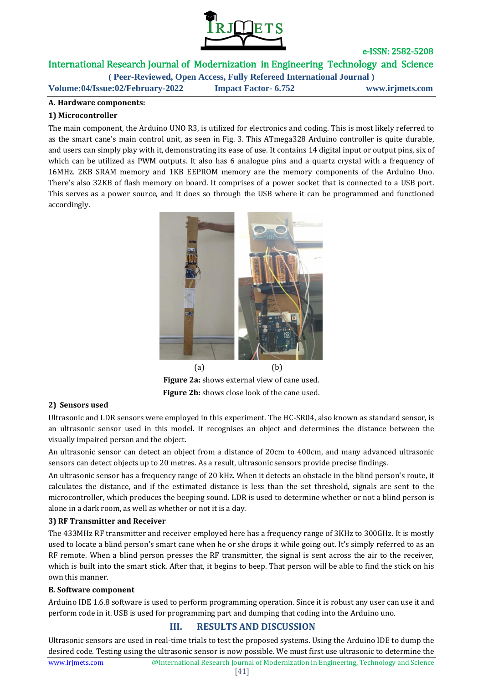

International Research Journal of Modernization in Engineering Technology and Science

**( Peer-Reviewed, Open Access, Fully Refereed International Journal ) Volume:04/Issue:02/February-2022 Impact Factor- 6.752 www.irjmets.com**

### **A. Hardware components:**

### **1) Microcontroller**

The main component, the Arduino UNO R3, is utilized for electronics and coding. This is most likely referred to as the smart cane's main control unit, as seen in Fig. 3. This ATmega328 Arduino controller is quite durable, and users can simply play with it, demonstrating its ease of use. It contains 14 digital input or output pins, six of which can be utilized as PWM outputs. It also has 6 analogue pins and a quartz crystal with a frequency of 16MHz. 2KB SRAM memory and 1KB EEPROM memory are the memory components of the Arduino Uno. There's also 32KB of flash memory on board. It comprises of a power socket that is connected to a USB port. This serves as a power source, and it does so through the USB where it can be programmed and functioned accordingly.



**Figure 2a:** shows external view of cane used. **Figure 2b:** shows close look of the cane used.

## **2) Sensors used**

Ultrasonic and LDR sensors were employed in this experiment. The HC-SR04, also known as standard sensor, is an ultrasonic sensor used in this model. It recognises an object and determines the distance between the visually impaired person and the object.

An ultrasonic sensor can detect an object from a distance of 20cm to 400cm, and many advanced ultrasonic sensors can detect objects up to 20 metres. As a result, ultrasonic sensors provide precise findings.

An ultrasonic sensor has a frequency range of 20 kHz. When it detects an obstacle in the blind person's route, it calculates the distance, and if the estimated distance is less than the set threshold, signals are sent to the microcontroller, which produces the beeping sound. LDR is used to determine whether or not a blind person is alone in a dark room, as well as whether or not it is a day.

#### **3) RF Transmitter and Receiver**

The 433MHz RF transmitter and receiver employed here has a frequency range of 3KHz to 300GHz. It is mostly used to locate a blind person's smart cane when he or she drops it while going out. It's simply referred to as an RF remote. When a blind person presses the RF transmitter, the signal is sent across the air to the receiver, which is built into the smart stick. After that, it begins to beep. That person will be able to find the stick on his own this manner.

#### **B***.* **Software component**

Arduino IDE 1.6.8 software is used to perform programming operation. Since it is robust any user can use it and perform code in it. USB is used for programming part and dumping that coding into the Arduino uno.

## **III. RESULTS AND DISCUSSION**

www.irjmets.com <sup>@International Research</sup> Journal of Modernization in Engineering, Technology and Science Ultrasonic sensors are used in real-time trials to test the proposed systems. Using the Arduino IDE to dump the desired code. Testing using the ultrasonic sensor is now possible. We must first use ultrasonic to determine the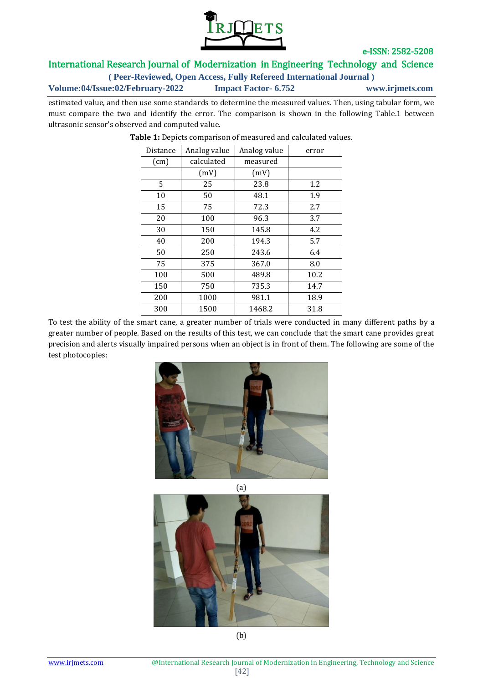

## International Research Journal of Modernization in Engineering Technology and Science

**( Peer-Reviewed, Open Access, Fully Refereed International Journal )**

**Volume:04/Issue:02/February-2022 Impact Factor- 6.752 www.irjmets.com**

estimated value, and then use some standards to determine the measured values. Then, using tabular form, we must compare the two and identify the error. The comparison is shown in the following Table.1 between ultrasonic sensor's observed and computed value.

| Distance | Analog value | Analog value | error |
|----------|--------------|--------------|-------|
| (cm)     | calculated   | measured     |       |
|          | (mV)         | (mV)         |       |
| 5        | 25           | 23.8         | 1.2   |
| 10       | 50           | 48.1         | 1.9   |
| 15       | 75           | 72.3         | 2.7   |
| 20       | 100          | 96.3         | 3.7   |
| 30       | 150          | 145.8        | 4.2   |
| 40       | 200          | 194.3        | 5.7   |
| 50       | 250          | 243.6        | 6.4   |
| 75       | 375          | 367.0        | 8.0   |
| 100      | 500          | 489.8        | 10.2  |
| 150      | 750          | 735.3        | 14.7  |
| 200      | 1000         | 981.1        | 18.9  |
| 300      | 1500         | 1468.2       | 31.8  |

**Table 1:** Depicts comparison of measured and calculated values.

To test the ability of the smart cane, a greater number of trials were conducted in many different paths by a greater number of people. Based on the results of this test, we can conclude that the smart cane provides great precision and alerts visually impaired persons when an object is in front of them. The following are some of the test photocopies:





(b)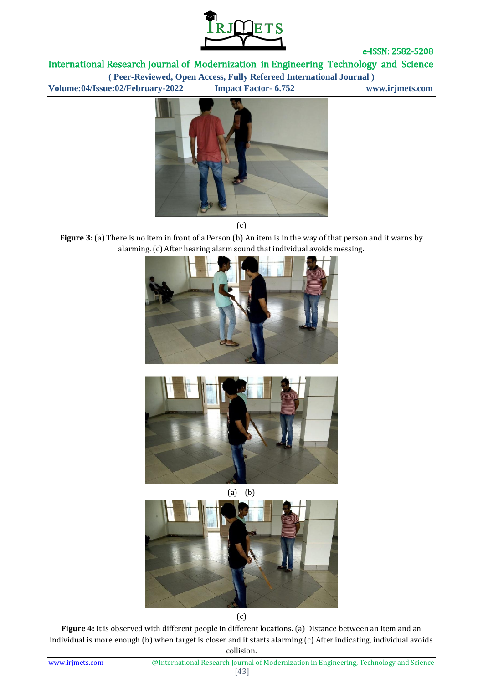

International Research Journal of Modernization in Engineering Technology and Science

**( Peer-Reviewed, Open Access, Fully Refereed International Journal )**

**Volume:04/Issue:02/February-2022 Impact Factor- 6.752 www.irjmets.com**



(c)

**Figure 3:** (a) There is no item in front of a Person (b) An item is in the way of that person and it warns by alarming. (c) After hearing alarm sound that individual avoids messing.







(c)

**Figure 4:** It is observed with different people in different locations. (a) Distance between an item and an individual is more enough (b) when target is closer and it starts alarming (c) After indicating, individual avoids collision.